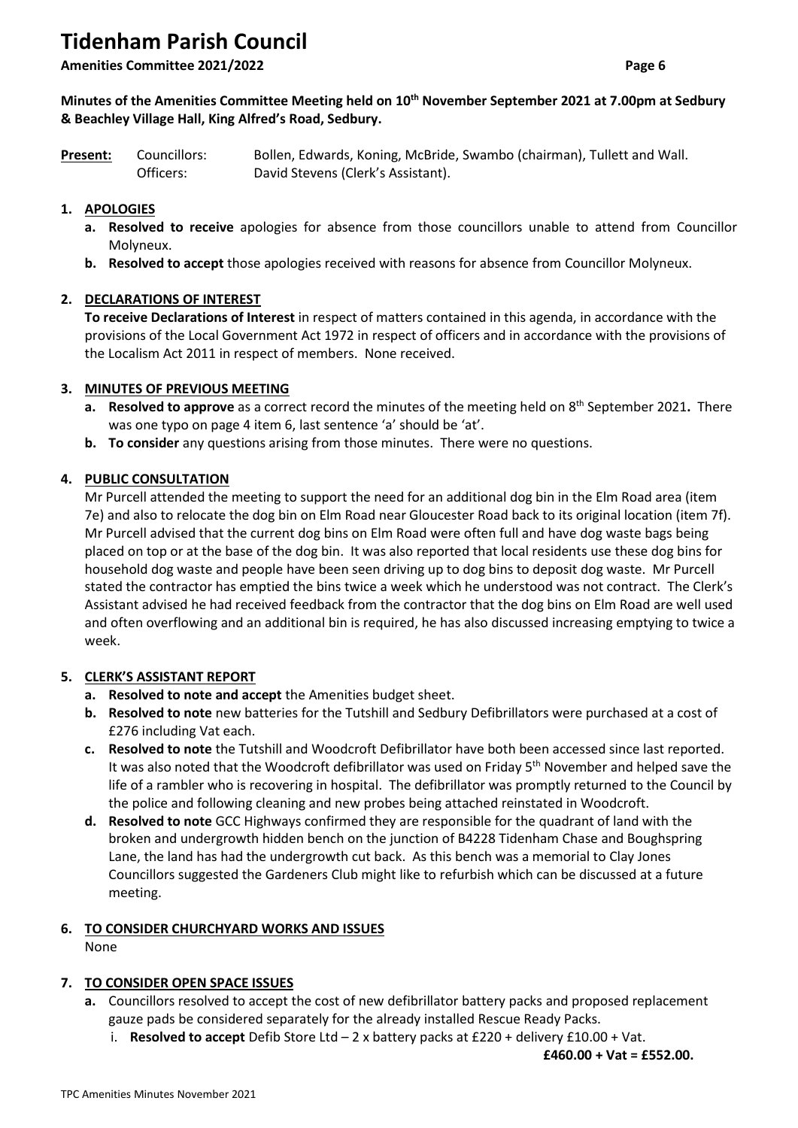# **Tidenham Parish Council**

**Amenities Committee 2021/2022 Page 6**

### **Minutes of the Amenities Committee Meeting held on 10th November September 2021 at 7.00pm at Sedbury & Beachley Village Hall, King Alfred's Road, Sedbury.**

| Present: | Councillors: | Bollen, Edwards, Koning, McBride, Swambo (chairman), Tullett and Wall. |
|----------|--------------|------------------------------------------------------------------------|
|          | Officers:    | David Stevens (Clerk's Assistant).                                     |

# **1. APOLOGIES**

- **a. Resolved to receive** apologies for absence from those councillors unable to attend from Councillor Molyneux.
- **b. Resolved to accept** those apologies received with reasons for absence from Councillor Molyneux.

## **2. DECLARATIONS OF INTEREST**

**To receive Declarations of Interest** in respect of matters contained in this agenda, in accordance with the provisions of the Local Government Act 1972 in respect of officers and in accordance with the provisions of the Localism Act 2011 in respect of members.None received.

### **3. MINUTES OF PREVIOUS MEETING**

- a. Resolved to approve as a correct record the minutes of the meeting held on 8<sup>th</sup> September 2021. There was one typo on page 4 item 6, last sentence 'a' should be 'at'.
- **b. To consider** any questions arising from those minutes. There were no questions.

### **4. PUBLIC CONSULTATION**

Mr Purcell attended the meeting to support the need for an additional dog bin in the Elm Road area (item 7e) and also to relocate the dog bin on Elm Road near Gloucester Road back to its original location (item 7f). Mr Purcell advised that the current dog bins on Elm Road were often full and have dog waste bags being placed on top or at the base of the dog bin. It was also reported that local residents use these dog bins for household dog waste and people have been seen driving up to dog bins to deposit dog waste. Mr Purcell stated the contractor has emptied the bins twice a week which he understood was not contract. The Clerk's Assistant advised he had received feedback from the contractor that the dog bins on Elm Road are well used and often overflowing and an additional bin is required, he has also discussed increasing emptying to twice a week.

#### **5. CLERK'S ASSISTANT REPORT**

- **a. Resolved to note and accept** the Amenities budget sheet.
- **b. Resolved to note** new batteries for the Tutshill and Sedbury Defibrillators were purchased at a cost of £276 including Vat each.
- **c. Resolved to note** the Tutshill and Woodcroft Defibrillator have both been accessed since last reported. It was also noted that the Woodcroft defibrillator was used on Friday  $5<sup>th</sup>$  November and helped save the life of a rambler who is recovering in hospital. The defibrillator was promptly returned to the Council by the police and following cleaning and new probes being attached reinstated in Woodcroft.
- **d. Resolved to note** GCC Highways confirmed they are responsible for the quadrant of land with the broken and undergrowth hidden bench on the junction of B4228 Tidenham Chase and Boughspring Lane, the land has had the undergrowth cut back. As this bench was a memorial to Clay Jones Councillors suggested the Gardeners Club might like to refurbish which can be discussed at a future meeting.

# **6. TO CONSIDER CHURCHYARD WORKS AND ISSUES**

None

## **7. TO CONSIDER OPEN SPACE ISSUES**

- **a.** Councillors resolved to accept the cost of new defibrillator battery packs and proposed replacement gauze pads be considered separately for the already installed Rescue Ready Packs.
	- i. **Resolved to accept** Defib Store Ltd 2 x battery packs at £220 + delivery £10.00 + Vat.

**£460.00 + Vat = £552.00.**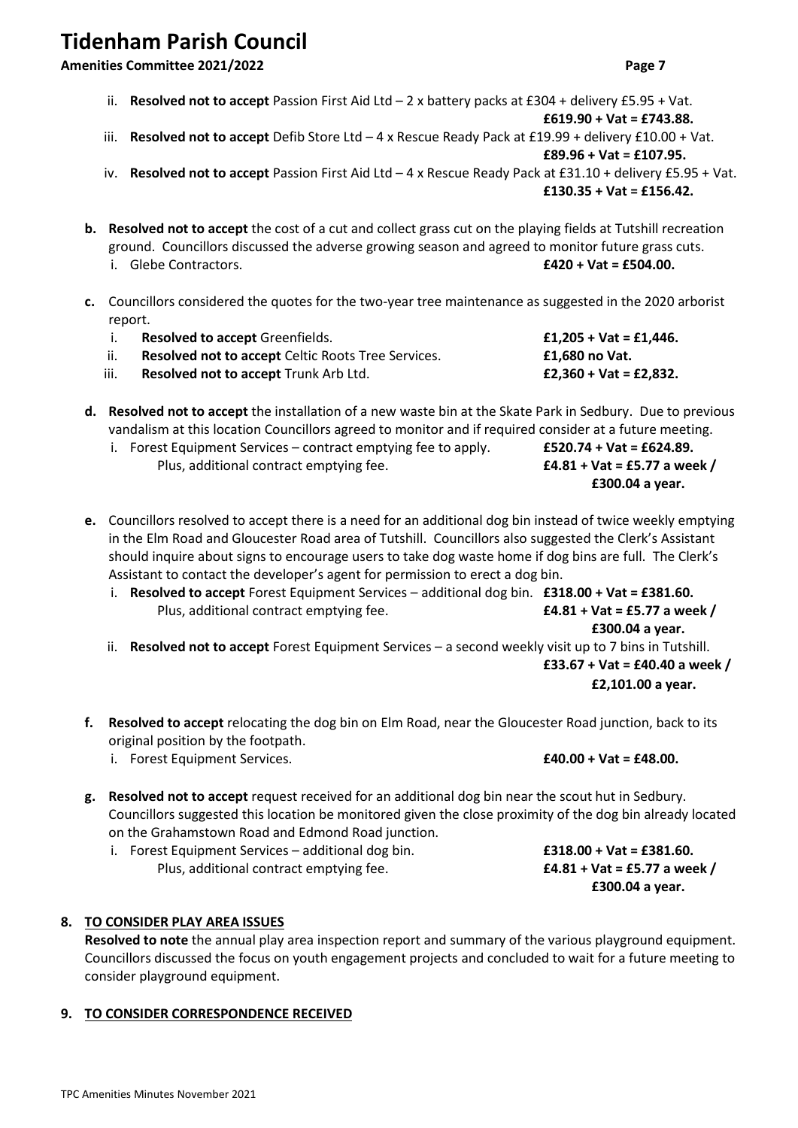# **Tidenham Parish Council**

#### **Amenities Committee 2021/2022 Page 7**

**£619.90 + Vat = £743.88.** iii. **Resolved not to accept** Defib Store Ltd – 4 x Rescue Ready Pack at £19.99 + delivery £10.00 + Vat. **£89.96 + Vat = £107.95.**

ii. **Resolved not to accept** Passion First Aid Ltd – 2 x battery packs at £304 + delivery £5.95 + Vat.

- iv. **Resolved not to accept** Passion First Aid Ltd 4 x Rescue Ready Pack at £31.10 + delivery £5.95 + Vat. **£130.35 + Vat = £156.42.**
- **b. Resolved not to accept** the cost of a cut and collect grass cut on the playing fields at Tutshill recreation ground. Councillors discussed the adverse growing season and agreed to monitor future grass cuts. i. Glebe Contractors. **£420 + Vat = £504.00.**
- **c.** Councillors considered the quotes for the two-year tree maintenance as suggested in the 2020 arborist report.

|      | <b>Resolved to accept Greenfields.</b>             | £1,205 + Vat = £1,446. |
|------|----------------------------------------------------|------------------------|
|      | Resolved not to accept Celtic Roots Tree Services. | £1.680 no Vat.         |
| iii. | <b>Resolved not to accept Trunk Arb Ltd.</b>       | £2,360 + Vat = £2,832. |

**d. Resolved not to accept** the installation of a new waste bin at the Skate Park in Sedbury. Due to previous vandalism at this location Councillors agreed to monitor and if required consider at a future meeting.

| i. Forest Equipment Services – contract emptying fee to apply. | £520.74 + Vat = £624.89.  |
|----------------------------------------------------------------|---------------------------|
| Plus, additional contract emptying fee.                        | £4.81 + Vat = £5.77 a wee |

- **e.** Councillors resolved to accept there is a need for an additional dog bin instead of twice weekly emptying in the Elm Road and Gloucester Road area of Tutshill. Councillors also suggested the Clerk's Assistant should inquire about signs to encourage users to take dog waste home if dog bins are full. The Clerk's Assistant to contact the developer's agent for permission to erect a dog bin.
	- i. **Resolved to accept** Forest Equipment Services additional dog bin. **£318.00 + Vat = £381.60.** Plus, additional contract emptying fee. **£4.81 + Vat = £5.77 a week /**

**£300.04 a year.** ii. **Resolved not to accept** Forest Equipment Services – a second weekly visit up to 7 bins in Tutshill. **£33.67 + Vat = £40.40 a week / £2,101.00 a year.**

- **f. Resolved to accept** relocating the dog bin on Elm Road, near the Gloucester Road junction, back to its original position by the footpath.
	- i. Forest Equipment Services. **£40.00 + Vat = £48.00.**
- **g. Resolved not to accept** request received for an additional dog bin near the scout hut in Sedbury. Councillors suggested this location be monitored given the close proximity of the dog bin already located on the Grahamstown Road and Edmond Road junction.
	- i. Forest Equipment Services additional dog bin. **£318.00 + Vat = £381.60.** Plus, additional contract emptying fee. **£4.81 + Vat = £5.77 a week /**

# **8. TO CONSIDER PLAY AREA ISSUES**

**Resolved to note** the annual play area inspection report and summary of the various playground equipment. Councillors discussed the focus on youth engagement projects and concluded to wait for a future meeting to consider playground equipment.

## **9. TO CONSIDER CORRESPONDENCE RECEIVED**

= £5.77 a week /

**£300.04 a year.**

**£300.04 a year.**